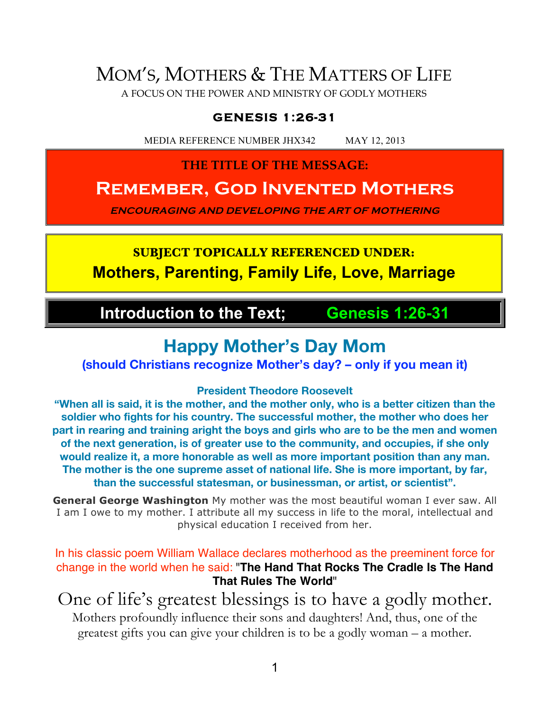# MOM'S, MOTHERS & THE MATTERS OF LIFE

A FOCUS ON THE POWER AND MINISTRY OF GODLY MOTHERS

#### **GENESIS 1:26-31**

MEDIA REFERENCE NUMBER JHX342 MAY 12, 2013

#### **THE TITLE OF THE MESSAGE:**

## **Remember, God Invented Mothers**

**ENCOURAGING AND DEVELOPING THE ART OF MOTHERING**

## **SUBJECT TOPICALLY REFERENCED UNDER: Mothers, Parenting, Family Life, Love, Marriage**

## **Introduction to the Text; Genesis 1:26-31**

## **Happy Mother's Day Mom**

**(should Christians recognize Mother's day? – only if you mean it)**

#### **President Theodore Roosevelt**

**"When all is said, it is the mother, and the mother only, who is a better citizen than the soldier who fights for his country. The successful mother, the mother who does her part in rearing and training aright the boys and girls who are to be the men and women of the next generation, is of greater use to the community, and occupies, if she only would realize it, a more honorable as well as more important position than any man. The mother is the one supreme asset of national life. She is more important, by far, than the successful statesman, or businessman, or artist, or scientist".**

**General George Washington** My mother was the most beautiful woman I ever saw. All I am I owe to my mother. I attribute all my success in life to the moral, intellectual and physical education I received from her.

In his classic poem William Wallace declares motherhood as the preeminent force for change in the world when he said: "**The Hand That Rocks The Cradle Is The Hand That Rules The World**"

One of life's greatest blessings is to have a godly mother. Mothers profoundly influence their sons and daughters! And, thus, one of the greatest gifts you can give your children is to be a godly woman – a mother.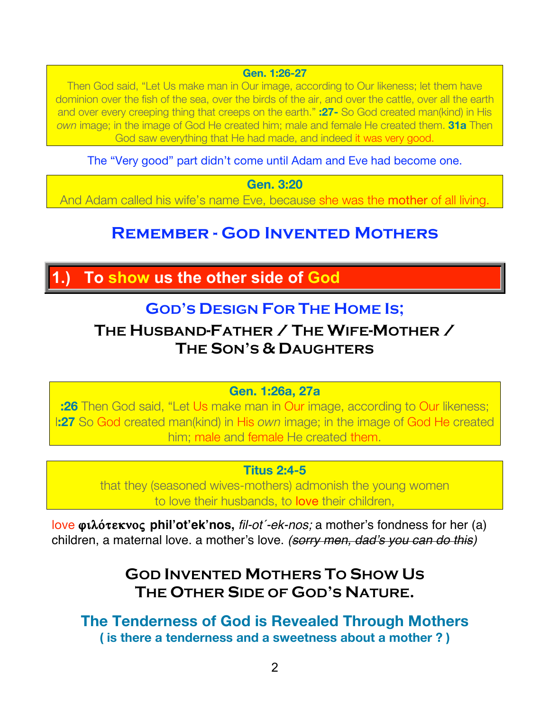**Gen. 1:26-27**

Then God said, "Let Us make man in Our image, according to Our likeness; let them have dominion over the fish of the sea, over the birds of the air, and over the cattle, over all the earth and over every creeping thing that creeps on the earth." **:27-** So God created man(kind) in His *own* image; in the image of God He created him; male and female He created them. **31a** Then God saw everything that He had made, and indeed it was very good.

The "Very good" part didn't come until Adam and Eve had become one.

**Gen. 3:20**

And Adam called his wife's name Eve, because she was the **mother** of all living.

## **Remember - God Invented Mothers**

## **1.) To show us the other side of God**

## **GOD'S DESIGN FOR THE HOME IS;**

## **THE HUSBAND-FATHER / THE WIFE-MOTHER / THE SON'S & DAUGHTERS**

#### **Gen. 1:26a, 27a**

**:26** Then God said, "Let Us make man in Our image, according to Our likeness; l**:27** So God created man(kind) in His *own* image; in the image of God He created him; male and female He created them.

#### **Titus 2:4-5**

that they (seasoned wives-mothers) admonish the young women to love their husbands, to love their children,

love **filo/teknoß phil'ot'ek'nos,** *fil-ot´-ek-nos;* a mother's fondness for her (a) children, a maternal love. a mother's love. *(sorry men, dad*'*s you can do this)*

## **GOD INVENTED MOTHERS TO SHOW US THE OTHER SIDE OF GOD'S NATURE.**

**The Tenderness of God is Revealed Through Mothers ( is there a tenderness and a sweetness about a mother ? )**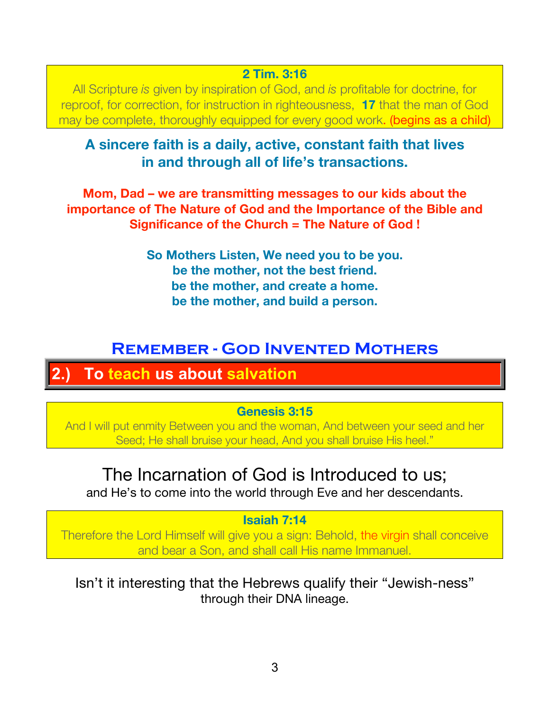#### **2 Tim. 3:16**

All Scripture *is* given by inspiration of God, and *is* profitable for doctrine, for reproof, for correction, for instruction in righteousness, **17** that the man of God may be complete, thoroughly equipped for every good work. (begins as a child)

### **A sincere faith is a daily, active, constant faith that lives in and through all of life's transactions.**

**Mom, Dad – we are transmitting messages to our kids about the importance of The Nature of God and the Importance of the Bible and Significance of the Church = The Nature of God !**

> **So Mothers Listen, We need you to be you. be the mother, not the best friend. be the mother, and create a home. be the mother, and build a person.**

## **Remember - God Invented Mothers**

## **2.) To teach us about salvation**

#### **Genesis 3:15**

And I will put enmity Between you and the woman, And between your seed and her Seed; He shall bruise your head, And you shall bruise His heel."

## The Incarnation of God is Introduced to us;

and He's to come into the world through Eve and her descendants.

#### **Isaiah 7:14**

Therefore the Lord Himself will give you a sign: Behold, the virgin shall conceive and bear a Son, and shall call His name Immanuel.

#### Isn't it interesting that the Hebrews qualify their "Jewish-ness" through their DNA lineage.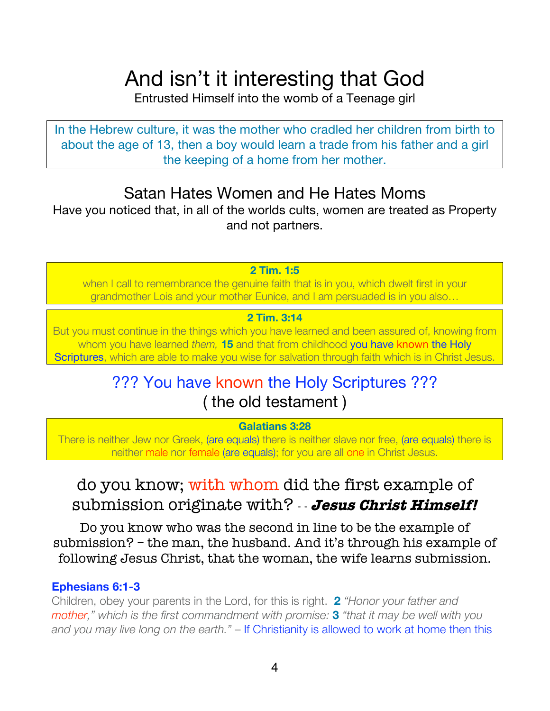# And isn't it interesting that God

Entrusted Himself into the womb of a Teenage girl

In the Hebrew culture, it was the mother who cradled her children from birth to about the age of 13, then a boy would learn a trade from his father and a girl the keeping of a home from her mother.

## Satan Hates Women and He Hates Moms

Have you noticed that, in all of the worlds cults, women are treated as Property and not partners.

**2 Tim. 1:5**

when I call to remembrance the genuine faith that is in you, which dwelt first in your grandmother Lois and your mother Eunice, and I am persuaded is in you also…

#### **2 Tim. 3:14**

But you must continue in the things which you have learned and been assured of, knowing from whom you have learned *them,* **15** and that from childhood you have known the Holy Scriptures, which are able to make you wise for salvation through faith which is in Christ Jesus.

## ??? You have known the Holy Scriptures ??? ( the old testament )

#### **Galatians 3:28**

There is neither Jew nor Greek, (are equals) there is neither slave nor free, (are equals) there is neither male nor female (are equals); for you are all one in Christ Jesus.

## do you know; with whom did the first example of submission originate with? - - **Jesus Christ Himself!**

Do you know who was the second in line to be the example of submission? – the man, the husband. And it's through his example of following Jesus Christ, that the woman, the wife learns submission.

#### **Ephesians 6:1-3**

Children, obey your parents in the Lord, for this is right. **2** *"Honor your father and mother," which is the first commandment with promise:* **3** *"that it may be well with you and you may live long on the earth."* – If Christianity is allowed to work at home then this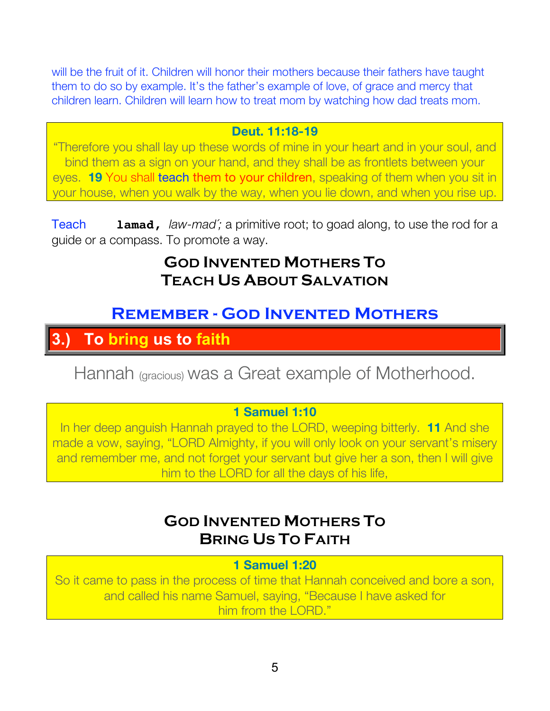will be the fruit of it. Children will honor their mothers because their fathers have taught them to do so by example. It's the father's example of love, of grace and mercy that children learn. Children will learn how to treat mom by watching how dad treats mom.

#### **Deut. 11:18-19**

"Therefore you shall lay up these words of mine in your heart and in your soul, and bind them as a sign on your hand, and they shall be as frontlets between your eyes. **19** You shall teach them to your children, speaking of them when you sit in your house, when you walk by the way, when you lie down, and when you rise up.

Teach **lamad,** *law-mad´;* a primitive root; to goad along, to use the rod for a guide or a compass. To promote a way.

## **GOD INVENTED MOTHERS TO TEACH US ABOUT SALVATION**

## **Remember - God Invented Mothers**

## **3.) To bring us to faith**

Hannah (gracious) was a Great example of Motherhood.

#### **1 Samuel 1:10**

In her deep anguish Hannah prayed to the LORD, weeping bitterly. **11** And she made a vow, saying, "LORD Almighty, if you will only look on your servant's misery and remember me, and not forget your servant but give her a son, then I will give him to the LORD for all the days of his life,

## **GOD INVENTED MOTHERS TO BRING US TO FAITH**

**1 Samuel 1:20**

So it came to pass in the process of time that Hannah conceived and bore a son, and called his name Samuel, saying, "Because I have asked for him from the LORD."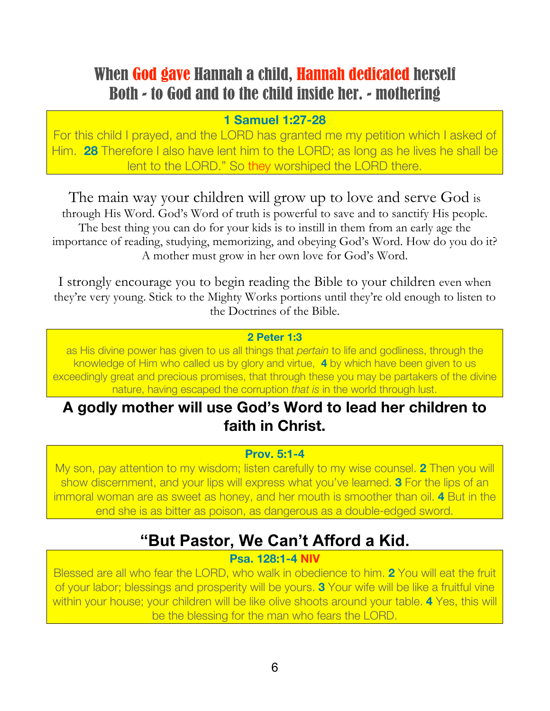## When God gave Hannah a child, Hannah dedicated herself Both - to God and to the child inside her. - mothering

#### **1 Samuel 1:27-28**

For this child I prayed, and the LORD has granted me my petition which I asked of Him. **28** Therefore I also have lent him to the LORD; as long as he lives he shall be lent to the LORD." So they worshiped the LORD there.

The main way your children will grow up to love and serve God is through His Word. God's Word of truth is powerful to save and to sanctify His people. The best thing you can do for your kids is to instill in them from an early age the importance of reading, studying, memorizing, and obeying God's Word. How do you do it? A mother must grow in her own love for God's Word.

I strongly encourage you to begin reading the Bible to your children even when they're very young. Stick to the Mighty Works portions until they're old enough to listen to the Doctrines of the Bible.

#### **2 Peter 1:3**

as His divine power has given to us all things that *pertain* to life and godliness, through the knowledge of Him who called us by glory and virtue, **4** by which have been given to us exceedingly great and precious promises, that through these you may be partakers of the divine nature, having escaped the corruption *that is* in the world through lust.

## **A godly mother will use God's Word to lead her children to faith in Christ.**

#### **Prov. 5:1-4**

My son, pay attention to my wisdom; listen carefully to my wise counsel. **2** Then you will show discernment, and your lips will express what you've learned. **3** For the lips of an immoral woman are as sweet as honey, and her mouth is smoother than oil. **4** But in the end she is as bitter as poison, as dangerous as a double-edged sword.

## **"But Pastor, We Can't Afford a Kid.**

#### **Psa. 128:1-4 NIV**

Blessed are all who fear the LORD, who walk in obedience to him. **2** You will eat the fruit of your labor; blessings and prosperity will be yours. **3** Your wife will be like a fruitful vine within your house; your children will be like olive shoots around your table. **4** Yes, this will be the blessing for the man who fears the LORD.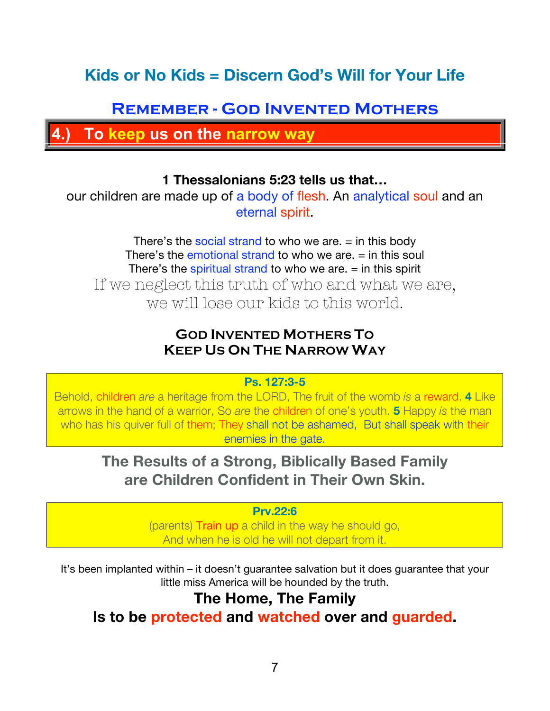## **Kids or No Kids = Discern God's Will for Your Life**

## **Remember - God Invented Mothers**

**4.) To keep us on the narrow way**

#### **1 Thessalonians 5:23 tells us that…**

our children are made up of a body of flesh. An analytical soul and an eternal spirit.

There's the social strand to who we are.  $=$  in this body There's the emotional strand to who we are.  $=$  in this soul There's the spiritual strand to who we are.  $=$  in this spirit If we neglect this truth of who and what we are, we will lose our kids to this world.

#### **GOD INVENTED MOTHERS TO KEEP US ON THE NARROW WAY**

#### **Ps. 127:3-5**

Behold, children *are* a heritage from the LORD, The fruit of the womb *is* a reward. **4** Like arrows in the hand of a warrior, So *are* the children of one's youth. **5** Happy *is* the man who has his quiver full of them; They shall not be ashamed, But shall speak with their enemies in the gate.

### **The Results of a Strong, Biblically Based Family are Children Confident in Their Own Skin.**

#### **Prv.22:6**

(parents) Train up a child in the way he should go, And when he is old he will not depart from it.

It's been implanted within – it doesn't guarantee salvation but it does guarantee that your little miss America will be hounded by the truth.

### **The Home, The Family**

**Is to be protected and watched over and guarded.**